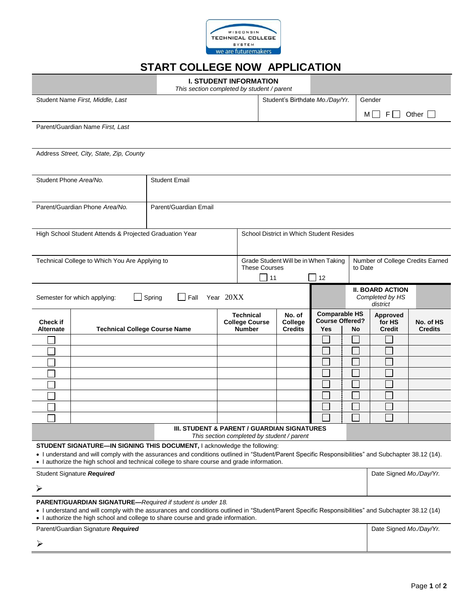

## **START COLLEGE NOW APPLICATION**

|                                                                                                                                                                                                                                                                                                      |                                                                                                                                                                                                                                                   | <b>I. STUDENT INFORMATION</b><br>This section completed by student / parent |                                          |                                                              |                                            |                                            |                                             |                                            |                             |  |
|------------------------------------------------------------------------------------------------------------------------------------------------------------------------------------------------------------------------------------------------------------------------------------------------------|---------------------------------------------------------------------------------------------------------------------------------------------------------------------------------------------------------------------------------------------------|-----------------------------------------------------------------------------|------------------------------------------|--------------------------------------------------------------|--------------------------------------------|--------------------------------------------|---------------------------------------------|--------------------------------------------|-----------------------------|--|
| Student Name First, Middle, Last                                                                                                                                                                                                                                                                     |                                                                                                                                                                                                                                                   |                                                                             |                                          |                                                              | Student's Birthdate Mo./Day/Yr.            |                                            | Gender                                      |                                            |                             |  |
|                                                                                                                                                                                                                                                                                                      |                                                                                                                                                                                                                                                   |                                                                             |                                          |                                                              |                                            |                                            | FII<br>Other $\Box$<br>MI I                 |                                            |                             |  |
|                                                                                                                                                                                                                                                                                                      | Parent/Guardian Name First, Last                                                                                                                                                                                                                  |                                                                             |                                          |                                                              |                                            |                                            |                                             |                                            |                             |  |
|                                                                                                                                                                                                                                                                                                      |                                                                                                                                                                                                                                                   |                                                                             |                                          |                                                              |                                            |                                            |                                             |                                            |                             |  |
|                                                                                                                                                                                                                                                                                                      | Address Street, City, State, Zip, County                                                                                                                                                                                                          |                                                                             |                                          |                                                              |                                            |                                            |                                             |                                            |                             |  |
|                                                                                                                                                                                                                                                                                                      |                                                                                                                                                                                                                                                   |                                                                             |                                          |                                                              |                                            |                                            |                                             |                                            |                             |  |
| Student Phone Area/No.                                                                                                                                                                                                                                                                               |                                                                                                                                                                                                                                                   | <b>Student Email</b>                                                        |                                          |                                                              |                                            |                                            |                                             |                                            |                             |  |
|                                                                                                                                                                                                                                                                                                      |                                                                                                                                                                                                                                                   |                                                                             |                                          |                                                              |                                            |                                            |                                             |                                            |                             |  |
| Parent/Guardian Phone Area/No.                                                                                                                                                                                                                                                                       |                                                                                                                                                                                                                                                   | Parent/Guardian Email                                                       |                                          |                                                              |                                            |                                            |                                             |                                            |                             |  |
|                                                                                                                                                                                                                                                                                                      |                                                                                                                                                                                                                                                   |                                                                             |                                          |                                                              |                                            |                                            |                                             |                                            |                             |  |
|                                                                                                                                                                                                                                                                                                      | High School Student Attends & Projected Graduation Year                                                                                                                                                                                           |                                                                             | School District in Which Student Resides |                                                              |                                            |                                            |                                             |                                            |                             |  |
|                                                                                                                                                                                                                                                                                                      |                                                                                                                                                                                                                                                   |                                                                             |                                          |                                                              |                                            |                                            |                                             |                                            |                             |  |
|                                                                                                                                                                                                                                                                                                      | Technical College to Which You Are Applying to                                                                                                                                                                                                    |                                                                             |                                          | Grade Student Will be in When Taking<br><b>These Courses</b> |                                            |                                            | Number of College Credits Earned<br>to Date |                                            |                             |  |
|                                                                                                                                                                                                                                                                                                      |                                                                                                                                                                                                                                                   |                                                                             |                                          | $\Box$ 11                                                    |                                            | 12                                         |                                             |                                            |                             |  |
| Year 20XX<br>$\Box$ Spring<br>Fall<br>Semester for which applying:                                                                                                                                                                                                                                   |                                                                                                                                                                                                                                                   |                                                                             |                                          |                                                              |                                            |                                            |                                             | <b>II. BOARD ACTION</b><br>Completed by HS |                             |  |
|                                                                                                                                                                                                                                                                                                      |                                                                                                                                                                                                                                                   |                                                                             |                                          | <b>Comparable HS</b><br><b>Technical</b><br>No. of           |                                            |                                            | district                                    |                                            |                             |  |
| <b>Check if</b><br><b>Alternate</b>                                                                                                                                                                                                                                                                  | <b>Technical College Course Name</b>                                                                                                                                                                                                              |                                                                             |                                          | <b>College Course</b><br><b>Number</b>                       | College<br><b>Credits</b>                  | <b>Course Offered?</b><br><b>Yes</b><br>No |                                             | <b>Approved</b><br>for HS<br><b>Credit</b> | No. of HS<br><b>Credits</b> |  |
|                                                                                                                                                                                                                                                                                                      |                                                                                                                                                                                                                                                   |                                                                             |                                          |                                                              |                                            |                                            |                                             |                                            |                             |  |
|                                                                                                                                                                                                                                                                                                      |                                                                                                                                                                                                                                                   |                                                                             |                                          |                                                              |                                            |                                            |                                             |                                            |                             |  |
|                                                                                                                                                                                                                                                                                                      |                                                                                                                                                                                                                                                   |                                                                             |                                          |                                                              |                                            |                                            |                                             |                                            |                             |  |
|                                                                                                                                                                                                                                                                                                      |                                                                                                                                                                                                                                                   |                                                                             |                                          |                                                              |                                            |                                            |                                             |                                            |                             |  |
|                                                                                                                                                                                                                                                                                                      |                                                                                                                                                                                                                                                   |                                                                             |                                          |                                                              |                                            |                                            |                                             |                                            |                             |  |
|                                                                                                                                                                                                                                                                                                      |                                                                                                                                                                                                                                                   |                                                                             |                                          |                                                              |                                            |                                            |                                             |                                            |                             |  |
|                                                                                                                                                                                                                                                                                                      |                                                                                                                                                                                                                                                   |                                                                             |                                          |                                                              |                                            |                                            |                                             |                                            |                             |  |
|                                                                                                                                                                                                                                                                                                      |                                                                                                                                                                                                                                                   | III. STUDENT & PARENT / GUARDIAN SIGNATURES                                 |                                          |                                                              | This section completed by student / parent |                                            |                                             |                                            |                             |  |
|                                                                                                                                                                                                                                                                                                      | STUDENT SIGNATURE-IN SIGNING THIS DOCUMENT, I acknowledge the following:                                                                                                                                                                          |                                                                             |                                          |                                                              |                                            |                                            |                                             |                                            |                             |  |
|                                                                                                                                                                                                                                                                                                      | . I understand and will comply with the assurances and conditions outlined in "Student/Parent Specific Responsibilities" and Subchapter 38.12 (14).<br>• I authorize the high school and technical college to share course and grade information. |                                                                             |                                          |                                                              |                                            |                                            |                                             |                                            |                             |  |
| Student Signature Required                                                                                                                                                                                                                                                                           |                                                                                                                                                                                                                                                   |                                                                             |                                          |                                                              |                                            |                                            |                                             | Date Signed Mo./Day/Yr.                    |                             |  |
| ➤                                                                                                                                                                                                                                                                                                    |                                                                                                                                                                                                                                                   |                                                                             |                                          |                                                              |                                            |                                            |                                             |                                            |                             |  |
| PARENT/GUARDIAN SIGNATURE-Required if student is under 18.<br>· I understand and will comply with the assurances and conditions outlined in "Student/Parent Specific Responsibilities" and Subchapter 38.12 (14)<br>• I authorize the high school and college to share course and grade information. |                                                                                                                                                                                                                                                   |                                                                             |                                          |                                                              |                                            |                                            |                                             |                                            |                             |  |
| Parent/Guardian Signature Required                                                                                                                                                                                                                                                                   |                                                                                                                                                                                                                                                   |                                                                             |                                          |                                                              |                                            |                                            |                                             | Date Signed Mo./Day/Yr.                    |                             |  |
|                                                                                                                                                                                                                                                                                                      |                                                                                                                                                                                                                                                   |                                                                             |                                          |                                                              |                                            |                                            |                                             |                                            |                             |  |
|                                                                                                                                                                                                                                                                                                      |                                                                                                                                                                                                                                                   |                                                                             |                                          |                                                              |                                            |                                            |                                             |                                            |                             |  |